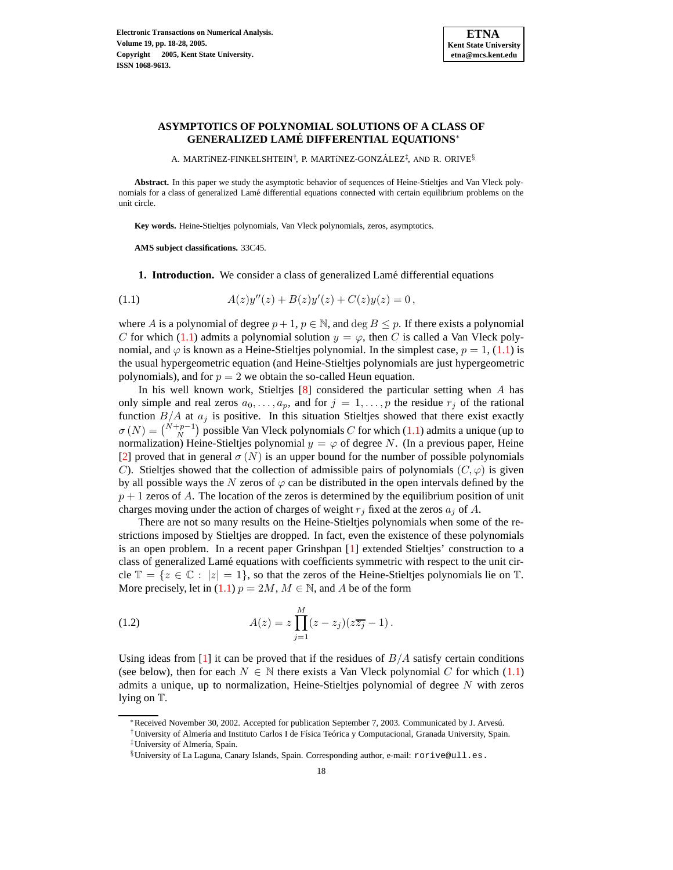<span id="page-0-0"></span>

# **ASYMPTOTICS OF POLYNOMIAL SOLUTIONS OF A CLASS OF GENERALIZED LAME´ DIFFERENTIAL EQUATIONS**<sup>∗</sup>

A. MARTíNEZ-FINKELSHTEIN†, P. MARTíNEZ-GONZÁLEZ‡, AND R. ORIVE $\$$ 

**Abstract.** In this paper we study the asymptotic behavior of sequences of Heine-Stieltjes and Van Vleck polynomials for a class of generalized Lamé differential equations connected with certain equilibrium problems on the unit circle.

**Key words.** Heine-Stieltjes polynomials, Van Vleck polynomials, zeros, asymptotics.

**AMS subject classifications.** 33C45.

**1. Introduction.** We consider a class of generalized Lamé differential equations

(1.1) 
$$
A(z)y''(z) + B(z)y'(z) + C(z)y(z) = 0,
$$

where A is a polynomial of degree  $p + 1$ ,  $p \in \mathbb{N}$ , and deg  $B \leq p$ . If there exists a polynomial C for which [\(1.1\)](#page-0-0) admits a polynomial solution  $y = \varphi$ , then C is called a Van Vleck polynomial, and  $\varphi$  is known as a Heine-Stieltjes polynomial. In the simplest case,  $p = 1$ , [\(1.1\)](#page-0-0) is the usual hypergeometric equation (and Heine-Stieltjes polynomials are just hypergeometric polynomials), and for  $p = 2$  we obtain the so-called Heun equation.

In his well known work, Stieltjes  $[8]$  considered the particular setting when A has only simple and real zeros  $a_0, \ldots, a_p$ , and for  $j = 1, \ldots, p$  the residue  $r_j$  of the rational function  $B/A$  at  $a_j$  is positive. In this situation Stieltjes showed that there exist exactly  $\sigma(N) = \binom{N+p-1}{N}$  possible Van Vleck polynomials C for which [\(1.1\)](#page-0-0) admits a unique (up to normalization) Heine-Stieltjes polynomial  $y = \varphi$  of degree N. (In a previous paper, Heine [\[2\]](#page-10-1) proved that in general  $\sigma(N)$  is an upper bound for the number of possible polynomials C). Stieltjes showed that the collection of admissible pairs of polynomials  $(C, \varphi)$  is given by all possible ways the N zeros of  $\varphi$  can be distributed in the open intervals defined by the  $p + 1$  zeros of A. The location of the zeros is determined by the equilibrium position of unit charges moving under the action of charges of weight  $r_j$  fixed at the zeros  $a_j$  of A.

There are not so many results on the Heine-Stieltjes polynomials when some of the restrictions imposed by Stieltjes are dropped. In fact, even the existence of these polynomials is an open problem. In a recent paper Grinshpan [\[1\]](#page-10-2) extended Stieltjes' construction to a class of generalized Lamé equations with coefficients symmetric with respect to the unit circle  $\mathbb{T} = \{z \in \mathbb{C} : |z| = 1\}$ , so that the zeros of the Heine-Stieltjes polynomials lie on  $\mathbb{T}$ . More precisely, let in [\(1.1\)](#page-0-0)  $p = 2M$ ,  $M \in \mathbb{N}$ , and A be of the form

<span id="page-0-1"></span>(1.2) 
$$
A(z) = z \prod_{j=1}^{M} (z - z_j)(z\overline{z_j} - 1).
$$

Using ideas from [\[1\]](#page-10-2) it can be proved that if the residues of  $B/A$  satisfy certain conditions (see below), then for each  $N \in \mathbb{N}$  there exists a Van Vleck polynomial C for which [\(1.1\)](#page-0-0) admits a unique, up to normalization, Heine-Stieltjes polynomial of degree  $N$  with zeros lying on T.

<sup>∗</sup>Received November 30, 2002. Accepted for publication September 7, 2003. Communicated by J. Arvesu.´

<sup>&</sup>lt;sup>†</sup>University of Almería and Instituto Carlos I de Física Teórica y Computacional, Granada University, Spain. <sup>‡</sup>University of Almería, Spain.

<sup>§</sup>University of La Laguna, Canary Islands, Spain. Corresponding author, e-mail: rorive@ull.es.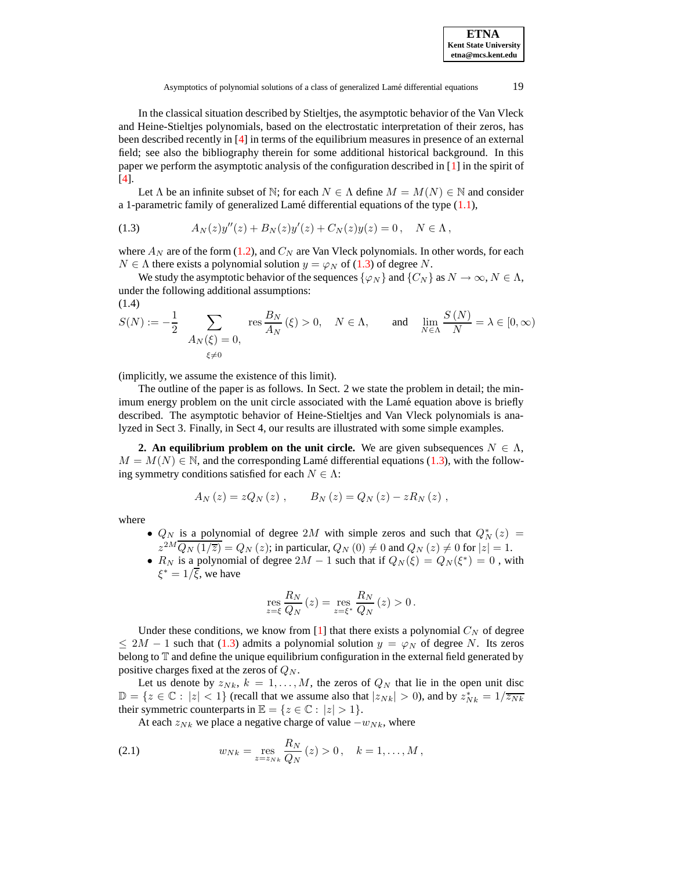<span id="page-1-0"></span>Asymptotics of polynomial solutions of a class of generalized Lamé differential equations 19

In the classical situation described by Stieltjes, the asymptotic behavior of the Van Vleck and Heine-Stieltjes polynomials, based on the electrostatic interpretation of their zeros, has been described recently in [\[4\]](#page-10-3) in terms of the equilibrium measures in presence of an external field; see also the bibliography therein for some additional historical background. In this paper we perform the asymptotic analysis of the configuration described in [\[1\]](#page-10-2) in the spirit of [\[4\]](#page-10-3).

Let  $\Lambda$  be an infinite subset of  $\mathbb{N}$ ; for each  $N \in \Lambda$  define  $M = M(N) \in \mathbb{N}$  and consider a 1-parametric family of generalized Lamé differential equations of the type  $(1.1)$ ,

(1.3) 
$$
A_N(z)y''(z) + B_N(z)y'(z) + C_N(z)y(z) = 0, \quad N \in \Lambda,
$$

where  $A_N$  are of the form [\(1.2\)](#page-0-1), and  $C_N$  are Van Vleck polynomials. In other words, for each  $N \in \Lambda$  there exists a polynomial solution  $y = \varphi_N$  of [\(1.3\)](#page-1-0) of degree N.

<span id="page-1-1"></span>We study the asymptotic behavior of the sequences  $\{\varphi_N\}$  and  $\{C_N\}$  as  $N \to \infty$ ,  $N \in \Lambda$ , under the following additional assumptions:

(1.4)  
\n
$$
S(N) := -\frac{1}{2} \sum_{\substack{A_N(\xi) = 0, \\ \xi \neq 0}} \text{res} \frac{B_N}{A_N}(\xi) > 0, \quad N \in \Lambda, \quad \text{and} \quad \lim_{N \in \Lambda} \frac{S(N)}{N} = \lambda \in [0, \infty)
$$

(implicitly, we assume the existence of this limit).

The outline of the paper is as follows. In Sect. 2 we state the problem in detail; the minimum energy problem on the unit circle associated with the Lamé equation above is briefly described. The asymptotic behavior of Heine-Stieltjes and Van Vleck polynomials is analyzed in Sect 3. Finally, in Sect 4, our results are illustrated with some simple examples.

**2. An equilibrium problem on the unit circle.** We are given subsequences  $N \in \Lambda$ ,  $M = M(N) \in \mathbb{N}$ , and the corresponding Lamé differential equations [\(1.3\)](#page-1-0), with the following symmetry conditions satisfied for each  $N \in \Lambda$ :

$$
A_N(z) = zQ_N(z) , \qquad B_N(z) = Q_N(z) - zR_N(z) ,
$$

where

- $Q_N$  is a polynomial of degree 2M with simple zeros and such that  $Q_N^*(z)$  =  $z^{2M}\overline{Q_N(1/\overline{z})} = Q_N(z)$ ; in particular,  $Q_N(0) \neq 0$  and  $Q_N(z) \neq 0$  for  $|z| = 1$ .
- $R_N$  is a polynomial of degree  $2M 1$  such that if  $Q_N(\xi) = Q_N(\xi^*) = 0$ , with  $\xi^* = 1/\overline{\xi}$ , we have

<span id="page-1-2"></span>
$$
\mathop{\mathrm{res}}\limits_{z=\xi} \frac{R_N}{Q_N}\left(z\right) = \mathop{\mathrm{res}}\limits_{z=\xi^*} \frac{R_N}{Q_N}\left(z\right) > 0\,.
$$

Under these conditions, we know from [\[1\]](#page-10-2) that there exists a polynomial  $C_N$  of degree  $\leq 2M - 1$  such that [\(1.3\)](#page-1-0) admits a polynomial solution  $y = \varphi_N$  of degree N. Its zeros belong to T and define the unique equilibrium configuration in the external field generated by positive charges fixed at the zeros of  $Q_N$ .

Let us denote by  $z_{Nk}$ ,  $k = 1, ..., M$ , the zeros of  $Q_N$  that lie in the open unit disc  $\mathbb{D} = \{z \in \mathbb{C} : |z| < 1\}$  (recall that we assume also that  $|z_{Nk}| > 0$ ), and by  $z_{Nk}^* = 1/\overline{z_{Nk}}$ their symmetric counterparts in  $\mathbb{E} = \{z \in \mathbb{C} : |z| > 1\}.$ 

At each  $z_{Nk}$  we place a negative charge of value  $-w_{Nk}$ , where

(2.1) 
$$
w_{Nk} = \mathop{\rm res}_{z=z_{Nk}} \frac{R_N}{Q_N}(z) > 0, \quad k = 1, ..., M,
$$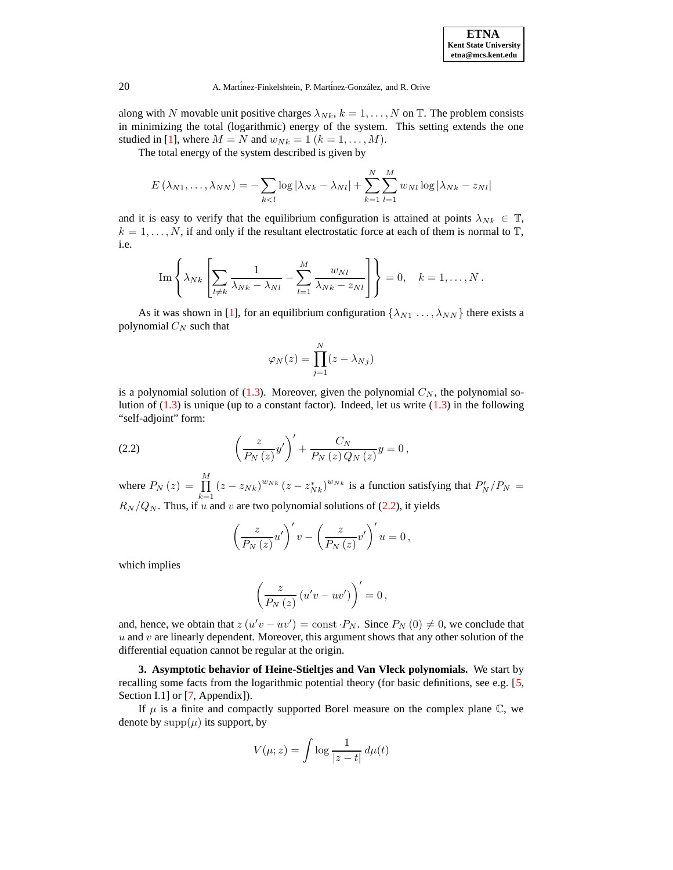

### 20 A. Martínez-Finkelshtein, P. Martínez-González, and R. Orive

along with N movable unit positive charges  $\lambda_{Nk}$ ,  $k = 1, ..., N$  on T. The problem consists in minimizing the total (logarithmic) energy of the system. This setting extends the one studied in [\[1\]](#page-10-2), where  $M = N$  and  $w_{Nk} = 1$   $(k = 1, \ldots, M)$ .

The total energy of the system described is given by

$$
E(\lambda_{N1},\ldots,\lambda_{NN})=-\sum_{k
$$

and it is easy to verify that the equilibrium configuration is attained at points  $\lambda_{Nk} \in \mathbb{T}$ ,  $k = 1, \ldots, N$ , if and only if the resultant electrostatic force at each of them is normal to  $\mathbb{T}$ , i.e.

Im 
$$
\left\{\lambda_{Nk}\left[\sum_{l\neq k}\frac{1}{\lambda_{Nk}-\lambda_{Nl}}-\sum_{l=1}^{M}\frac{w_{Nl}}{\lambda_{Nk}-z_{Nl}}\right]\right\}=0, \quad k=1,\ldots,N.
$$

As it was shown in [\[1\]](#page-10-2), for an equilibrium configuration  $\{\lambda_{N1} \dots, \lambda_{NN}\}$  there exists a polynomial  $C_N$  such that

$$
\varphi_N(z) = \prod_{j=1}^N (z - \lambda_{Nj})
$$

<span id="page-2-0"></span>is a polynomial solution of  $(1.3)$ . Moreover, given the polynomial  $C_N$ , the polynomial solution of  $(1.3)$  is unique (up to a constant factor). Indeed, let us write  $(1.3)$  in the following "self-adjoint" form:

(2.2) 
$$
\left(\frac{z}{P_N(z)}y'\right)' + \frac{C_N}{P_N(z)Q_N(z)}y = 0,
$$

where  $P_N(z) = \prod^M$  $\prod_{k=1}^{m} (z - z_{Nk})^{w_{Nk}} (z - z_{Nk}^*)^{w_{Nk}}$  is a function satisfying that  $P'_{N}/P_{N} =$  $R_N/Q_N$ . Thus, if u and v are two polynomial solutions of [\(2.2\)](#page-2-0), it yields

$$
\left(\frac{z}{P_N(z)}u'\right)'v - \left(\frac{z}{P_N(z)}v'\right)'u = 0,
$$

which implies

$$
\left(\frac{z}{P_N(z)}\left(u'v - uv'\right)\right)' = 0,
$$

and, hence, we obtain that  $z(u'v - uv') = \text{const} \cdot P_N$ . Since  $P_N(0) \neq 0$ , we conclude that  $u$  and  $v$  are linearly dependent. Moreover, this argument shows that any other solution of the differential equation cannot be regular at the origin.

**3. Asymptotic behavior of Heine-Stieltjes and Van Vleck polynomials.** We start by recalling some facts from the logarithmic potential theory (for basic definitions, see e.g. [\[5,](#page-10-4) Section I.1] or [\[7,](#page-10-5) Appendix]).

If  $\mu$  is a finite and compactly supported Borel measure on the complex plane  $\mathbb{C}$ , we denote by  $supp(\mu)$  its support, by

$$
V(\mu; z) = \int \log \frac{1}{|z - t|} \, d\mu(t)
$$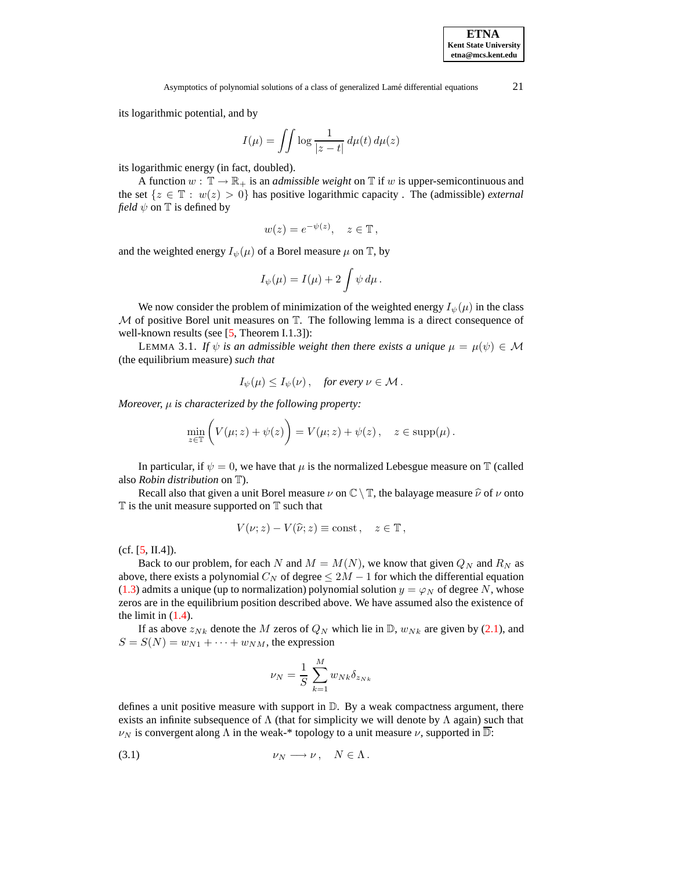Asymptotics of polynomial solutions of a class of generalized Lamé differential equations  $21$ 

its logarithmic potential, and by

$$
I(\mu) = \iint \log \frac{1}{|z-t|} \, d\mu(t) \, d\mu(z)
$$

its logarithmic energy (in fact, doubled).

A function  $w : \mathbb{T} \to \mathbb{R}_+$  is an *admissible weight* on  $\mathbb{T}$  if w is upper-semicontinuous and the set  $\{z \in \mathbb{T} : w(z) > 0\}$  has positive logarithmic capacity. The (admissible) *external field*  $\psi$  on  $\mathbb T$  is defined by

$$
w(z) = e^{-\psi(z)}, \quad z \in \mathbb{T},
$$

and the weighted energy  $I_{\psi}(\mu)$  of a Borel measure  $\mu$  on  $\mathbb{T}$ , by

<span id="page-3-0"></span>
$$
I_{\psi}(\mu) = I(\mu) + 2 \int \psi \, d\mu \, .
$$

We now consider the problem of minimization of the weighted energy  $I_{\psi}(\mu)$  in the class  $M$  of positive Borel unit measures on  $T$ . The following lemma is a direct consequence of well-known results (see [\[5,](#page-10-4) Theorem I.1.3]):

LEMMA 3.1. *If*  $\psi$  *is an admissible weight then there exists a unique*  $\mu = \mu(\psi) \in \mathcal{M}$ (the equilibrium measure) *such that*

$$
I_{\psi}(\mu) \leq I_{\psi}(\nu)
$$
, for every  $\nu \in \mathcal{M}$ .

*Moreover,* µ *is characterized by the following property:*

$$
\min_{z \in \mathbb{T}} \left( V(\mu; z) + \psi(z) \right) = V(\mu; z) + \psi(z), \quad z \in \text{supp}(\mu).
$$

In particular, if  $\psi = 0$ , we have that  $\mu$  is the normalized Lebesgue measure on T (called also *Robin distribution* on T).

Recall also that given a unit Borel measure  $\nu$  on  $\mathbb{C} \setminus \mathbb{T}$ , the balayage measure  $\hat{\nu}$  of  $\nu$  onto  $T$  is the unit measure supported on  $T$  such that

$$
V(\nu; z) - V(\widehat{\nu}; z) \equiv \text{const}, \quad z \in \mathbb{T},
$$

 $(cf. [5, II.4]).$  $(cf. [5, II.4]).$  $(cf. [5, II.4]).$ 

Back to our problem, for each N and  $M = M(N)$ , we know that given  $Q_N$  and  $R_N$  as above, there exists a polynomial  $C_N$  of degree  $\leq 2M - 1$  for which the differential equation [\(1.3\)](#page-1-0) admits a unique (up to normalization) polynomial solution  $y = \varphi_N$  of degree N, whose zeros are in the equilibrium position described above. We have assumed also the existence of the limit in  $(1.4)$ .

If as above  $z_{Nk}$  denote the M zeros of  $Q_N$  which lie in D,  $w_{Nk}$  are given by [\(2.1\)](#page-1-2), and  $S = S(N) = w_{N1} + \cdots + w_{NM}$ , the expression

<span id="page-3-1"></span>
$$
\nu_N = \frac{1}{S} \sum_{k=1}^{M} w_{Nk} \delta_{z_{Nk}}
$$

defines a unit positive measure with support in  $D$ . By a weak compactness argument, there exists an infinite subsequence of  $\Lambda$  (that for simplicity we will denote by  $\Lambda$  again) such that  $\nu_N$  is convergent along  $\Lambda$  in the weak-\* topology to a unit measure  $\nu$ , supported in  $\mathbb{D}$ :

$$
\nu_N \longrightarrow \nu, \quad N \in \Lambda.
$$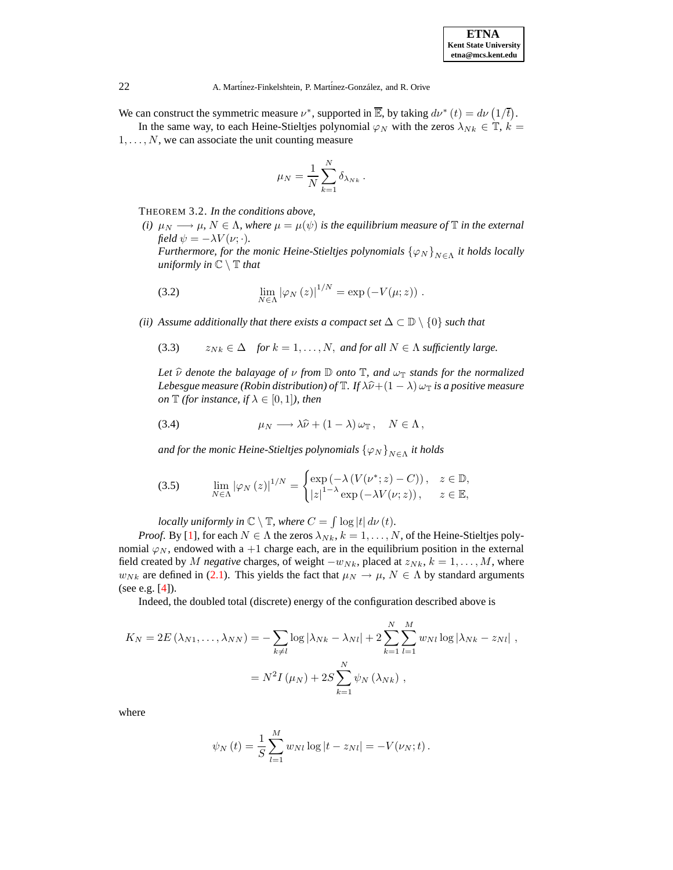22 A. Martinez-Finkelshtein, P. Martinez-González, and R. Orive

We can construct the symmetric measure  $\nu^*$ , supported in  $\overline{\mathbb{E}}$ , by taking  $d\nu^*(t) = d\nu(1/\overline{t})$ .

In the same way, to each Heine-Stieltjes polynomial  $\varphi_N$  with the zeros  $\lambda_{Nk} \in \mathbb{T}$ ,  $k =$  $1, \ldots, N$ , we can associate the unit counting measure

<span id="page-4-1"></span>
$$
\mu_N = \frac{1}{N} \sum_{k=1}^N \delta_{\lambda_{Nk}}.
$$

<span id="page-4-3"></span>THEOREM 3.2. *In the conditions above,*

*(i)*  $\mu_N \longrightarrow \mu$ ,  $N \in \Lambda$ , where  $\mu = \mu(\psi)$  is the equilibrium measure of  $\mathbb T$  *in the external field*  $\psi = -\lambda V(\nu;\cdot)$ *.* 

<span id="page-4-0"></span>*Furthermore, for the monic Heine-Stieltjes polynomials*  $\{\varphi_N\}_{N\in\Lambda}$  *it holds locally uniformly in*  $\mathbb{C} \setminus \mathbb{T}$  *that* 

(3.2) 
$$
\lim_{N \in \Lambda} |\varphi_N(z)|^{1/N} = \exp(-V(\mu; z)).
$$

*(ii) Assume additionally that there exists a compact set*  $\Delta \subset \mathbb{D} \setminus \{0\}$  *such that* 

(3.3)  $z_{Nk} \in \Delta$  *for*  $k = 1, ..., N$ *, and for all*  $N \in \Lambda$  *sufficiently large.* 

<span id="page-4-2"></span>*Let*  $\hat{\nu}$  *denote the balayage of*  $\nu$  *from*  $\mathbb{D}$  *onto*  $\mathbb{T}$ *, and*  $\omega_{\mathbb{T}}$  *stands for the normalized Lebesgue measure* (*Robin distribution*) *of*  $\mathbb{T}$ *. If*  $\lambda \hat{\nu} + (1 - \lambda) \omega_{\mathbb{T}}$  *is a positive measure on*  $\mathbb{T}$  *(for instance, if*  $\lambda \in [0, 1]$ *), then* 

<span id="page-4-4"></span>(3.4) 
$$
\mu_N \longrightarrow \lambda \widehat{\nu} + (1 - \lambda) \omega_{\mathbb{T}}, \quad N \in \Lambda,
$$

and for the monic Heine-Stieltjes polynomials  $\left\{\varphi_N\right\}_{N\in\Lambda}$  it holds

(3.5) 
$$
\lim_{N \in \Lambda} |\varphi_N(z)|^{1/N} = \begin{cases} \exp(-\lambda (V(\nu^*; z) - C)), & z \in \mathbb{D}, \\ |z|^{1-\lambda} \exp(-\lambda V(\nu; z)), & z \in \mathbb{E}, \end{cases}
$$

*locally uniformly in*  $\mathbb{C} \setminus \mathbb{T}$ *, where*  $C = \int \log |t| d\nu(t)$ *.* 

*Proof.* By [\[1\]](#page-10-2), for each  $N \in \Lambda$  the zeros  $\lambda_{N,k}$ ,  $k = 1, \ldots, N$ , of the Heine-Stieltjes polynomial  $\varphi_N$ , endowed with a +1 charge each, are in the equilibrium position in the external field created by M *negative* charges, of weight  $-w_{Nk}$ , placed at  $z_{Nk}$ ,  $k = 1, ..., M$ , where  $w_{Nk}$  are defined in [\(2.1\)](#page-1-2). This yields the fact that  $\mu_N \to \mu$ ,  $N \in \Lambda$  by standard arguments (see e.g. [\[4\]](#page-10-3)).

Indeed, the doubled total (discrete) energy of the configuration described above is

$$
K_N = 2E(\lambda_{N1}, \dots, \lambda_{NN}) = -\sum_{k \neq l} \log |\lambda_{Nk} - \lambda_{Nl}| + 2 \sum_{k=1}^N \sum_{l=1}^M w_{Nl} \log |\lambda_{Nk} - z_{Nl}|,
$$
  
=  $N^2 I(\mu_N) + 2S \sum_{k=1}^N \psi_N(\lambda_{Nk}),$ 

where

$$
\psi_N(t) = \frac{1}{S} \sum_{l=1}^M w_{Nl} \log |t - z_{Nl}| = -V(\nu_N; t).
$$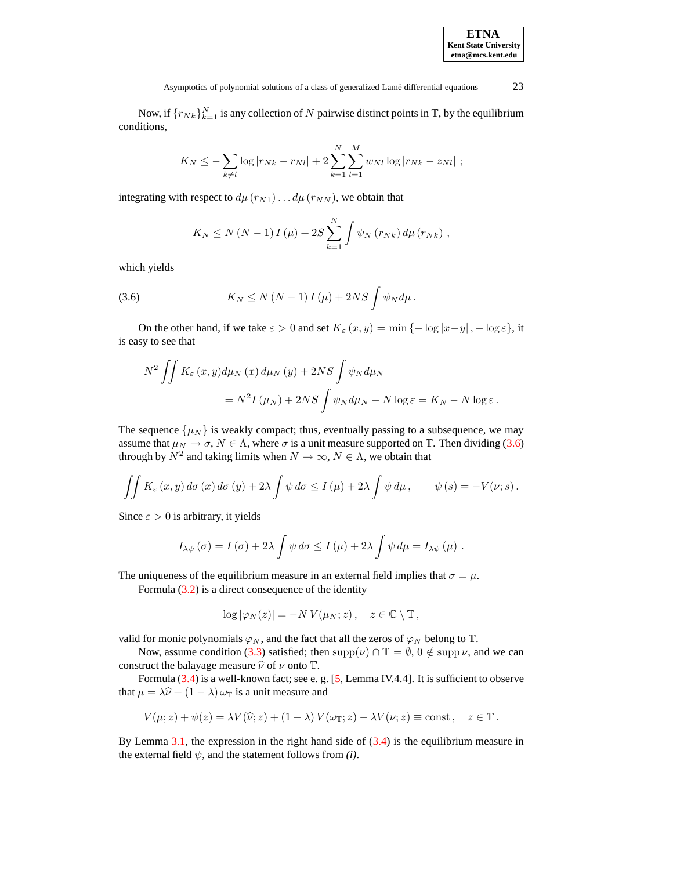Now, if  $\{r_{Nk}\}_{k=1}^N$  is any collection of N pairwise distinct points in T, by the equilibrium conditions,

$$
K_N \leq -\sum_{k \neq l} \log |r_{Nk} - r_{Nl}| + 2 \sum_{k=1}^{N} \sum_{l=1}^{M} w_{Nl} \log |r_{Nk} - z_{Nl}| ;
$$

integrating with respect to  $d\mu(r_{N1}) \dots d\mu(r_{NN})$ , we obtain that

$$
K_N \le N (N-1) I(\mu) + 2S \sum_{k=1}^N \int \psi_N(r_{Nk}) d\mu(r_{Nk}),
$$

<span id="page-5-0"></span>which yields

(3.6) 
$$
K_N \leq N (N-1) I(\mu) + 2NS \int \psi_N d\mu.
$$

On the other hand, if we take  $\varepsilon > 0$  and set  $K_{\varepsilon}(x, y) = \min \{-\log |x-y|, -\log \varepsilon\}$ , it is easy to see that

$$
N^{2} \iint K_{\varepsilon}(x, y) d\mu_{N}(x) d\mu_{N}(y) + 2NS \int \psi_{N} d\mu_{N}
$$
  
=  $N^{2} I(\mu_{N}) + 2NS \int \psi_{N} d\mu_{N} - N \log \varepsilon = K_{N} - N \log \varepsilon.$ 

The sequence  $\{\mu_N\}$  is weakly compact; thus, eventually passing to a subsequence, we may assume that  $\mu_N \to \sigma$ ,  $N \in \Lambda$ , where  $\sigma$  is a unit measure supported on T. Then dividing [\(3.6\)](#page-5-0) through by  $N^2$  and taking limits when  $N \to \infty$ ,  $N \in \Lambda$ , we obtain that

$$
\iint K_{\varepsilon}(x,y) d\sigma(x) d\sigma(y) + 2\lambda \int \psi d\sigma \le \Gamma(\mu) + 2\lambda \int \psi d\mu, \qquad \psi(s) = -V(\nu; s).
$$

Since  $\varepsilon > 0$  is arbitrary, it yields

$$
I_{\lambda\psi}(\sigma) = I(\sigma) + 2\lambda \int \psi \, d\sigma \le I(\mu) + 2\lambda \int \psi \, d\mu = I_{\lambda\psi}(\mu) .
$$

The uniqueness of the equilibrium measure in an external field implies that  $\sigma = \mu$ .

Formula [\(3.2\)](#page-4-0) is a direct consequence of the identity

$$
\log |\varphi_N(z)| = -N V(\mu_N; z), \quad z \in \mathbb{C} \setminus \mathbb{T},
$$

valid for monic polynomials  $\varphi_N$ , and the fact that all the zeros of  $\varphi_N$  belong to  $\mathbb{T}$ .

Now, assume condition [\(3.3\)](#page-4-1) satisfied; then  $\text{supp}(\nu) \cap \mathbb{T} = \emptyset$ ,  $0 \notin \text{supp }\nu$ , and we can construct the balayage measure  $\hat{v}$  of  $\nu$  onto T.

Formula [\(3.4\)](#page-4-2) is a well-known fact; see e. g. [\[5,](#page-10-4) Lemma IV.4.4]. It is sufficient to observe that  $\mu = \lambda \hat{\nu} + (1 - \lambda) \omega_{\mathbb{T}}$  is a unit measure and

$$
V(\mu; z) + \psi(z) = \lambda V(\widehat{\nu}; z) + (1 - \lambda) V(\omega_{\mathbb{T}}; z) - \lambda V(\nu; z) \equiv \text{const}, \quad z \in \mathbb{T}.
$$

By Lemma [3.1,](#page-3-0) the expression in the right hand side of  $(3.4)$  is the equilibrium measure in the external field  $\psi$ , and the statement follows from *(i)*.

**ETNA Kent State University etna@mcs.kent.edu**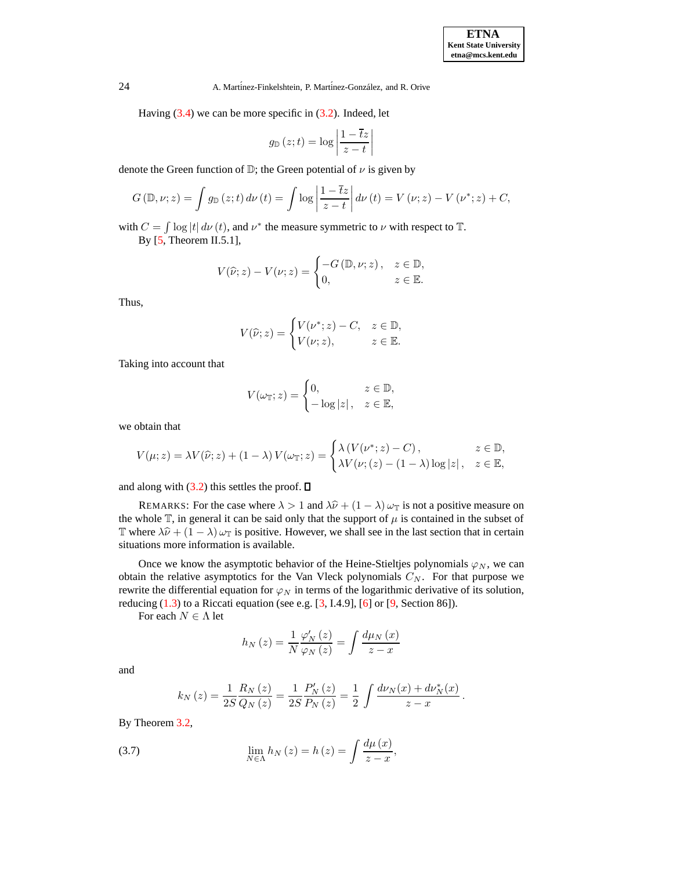24 A. Martinez-Finkelshtein, P. Martinez-González, and R. Orive

Having  $(3.4)$  we can be more specific in  $(3.2)$ . Indeed, let

$$
g_{\mathbb{D}}(z;t) = \log \left| \frac{1 - \overline{t}z}{z - t} \right|
$$

denote the Green function of  $\mathbb{D}$ ; the Green potential of  $\nu$  is given by

$$
G(\mathbb{D},\nu;z) = \int g_{\mathbb{D}}(z;t) d\nu(t) = \int \log \left| \frac{1-\overline{t}z}{z-t} \right| d\nu(t) = V(\nu;z) - V(\nu^*;z) + C,
$$

with  $C = \int \log |t| d\nu(t)$ , and  $\nu^*$  the measure symmetric to  $\nu$  with respect to  $\mathbb{T}$ .

By [\[5,](#page-10-4) Theorem II.5.1],

$$
V(\widehat{\nu}; z) - V(\nu; z) = \begin{cases} -G(\mathbb{D}, \nu; z), & z \in \mathbb{D}, \\ 0, & z \in \mathbb{E}. \end{cases}
$$

Thus,

$$
V(\widehat{\nu}; z) = \begin{cases} V(\nu^*; z) - C, & z \in \mathbb{D}, \\ V(\nu; z), & z \in \mathbb{E}. \end{cases}
$$

Taking into account that

$$
V(\omega_{\mathbb{T}}; z) = \begin{cases} 0, & z \in \mathbb{D}, \\ -\log|z|, & z \in \mathbb{E}, \end{cases}
$$

we obtain that

$$
V(\mu; z) = \lambda V(\hat{\nu}; z) + (1 - \lambda) V(\omega_{\mathbb{T}}; z) = \begin{cases} \lambda (V(\nu^*; z) - C), & z \in \mathbb{D}, \\ \lambda V(\nu; (z) - (1 - \lambda) \log |z|, & z \in \mathbb{E}, \end{cases}
$$

and along with  $(3.2)$  this settles the proof.  $\square$ 

REMARKS: For the case where  $\lambda > 1$  and  $\lambda \hat{\nu} + (1 - \lambda) \omega_{\mathbb{T}}$  is not a positive measure on the whole  $\mathbb T$ , in general it can be said only that the support of  $\mu$  is contained in the subset of T where  $\lambda \hat{\nu} + (1 - \lambda) \omega_T$  is positive. However, we shall see in the last section that in certain situations more information is available.

Once we know the asymptotic behavior of the Heine-Stieltjes polynomials  $\varphi_N$ , we can obtain the relative asymptotics for the Van Vleck polynomials  $C_N$ . For that purpose we rewrite the differential equation for  $\varphi_N$  in terms of the logarithmic derivative of its solution, reducing [\(1.3\)](#page-1-0) to a Riccati equation (see e.g. [\[3,](#page-10-6) I.4.9], [\[6\]](#page-10-7) or [\[9,](#page-10-8) Section 86]).

For each  $N\in \Lambda$  let

$$
h_N(z) = \frac{1}{N} \frac{\varphi'_N(z)}{\varphi_N(z)} = \int \frac{d\mu_N(x)}{z - x}
$$

and

$$
k_N(z) = \frac{1}{2S} \frac{R_N(z)}{Q_N(z)} = \frac{1}{2S} \frac{P'_N(z)}{P_N(z)} = \frac{1}{2} \int \frac{d\nu_N(x) + d\nu_N^*(x)}{z - x}.
$$

<span id="page-6-0"></span>By Theorem [3.2,](#page-4-3)

(3.7) 
$$
\lim_{N \in \Lambda} h_N(z) = h(z) = \int \frac{d\mu(x)}{z - x},
$$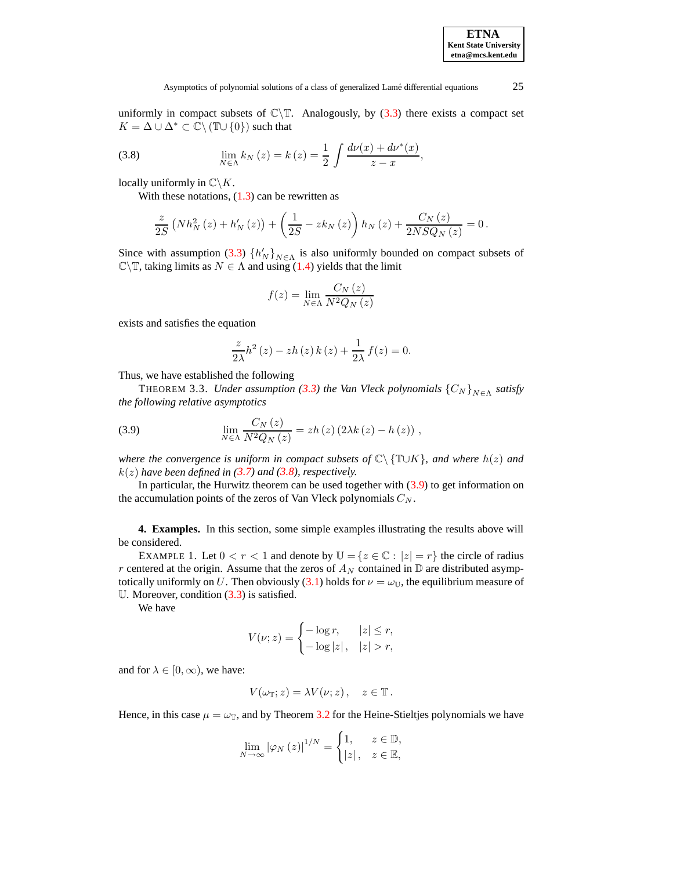# <span id="page-7-0"></span>Asymptotics of polynomial solutions of a class of generalized Lamé differential equations 25

uniformly in compact subsets of  $\mathbb{C}\backslash\mathbb{T}$ . Analogously, by [\(3.3\)](#page-4-1) there exists a compact set  $K = \Delta \cup \Delta^* \subset \mathbb{C} \setminus (\mathbb{T} \cup \{0\})$  such that

(3.8) 
$$
\lim_{N \in \Lambda} k_N(z) = k(z) = \frac{1}{2} \int \frac{d\nu(x) + d\nu^*(x)}{z - x},
$$

locally uniformly in  $\mathbb{C}\backslash K$ .

With these notations,  $(1.3)$  can be rewritten as

$$
\frac{z}{2S}\left(Nh_N^2\left(z\right)+h_N'\left(z\right)\right)+\left(\frac{1}{2S}-zk_N\left(z\right)\right)h_N\left(z\right)+\frac{C_N\left(z\right)}{2NSQ_N\left(z\right)}=0\,.
$$

Since with assumption [\(3.3\)](#page-4-1)  $\{h'_N\}_{N\in\Lambda}$  is also uniformly bounded on compact subsets of  $\mathbb{C}\backslash\mathbb{T}$ , taking limits as  $N \in \Lambda$  and using [\(1.4\)](#page-1-1) yields that the limit

$$
f(z) = \lim_{N \in \Lambda} \frac{C_N(z)}{N^2 Q_N(z)}
$$

exists and satisfies the equation

<span id="page-7-1"></span>
$$
\frac{z}{2\lambda}h^{2}(z) - zh(z) k(z) + \frac{1}{2\lambda} f(z) = 0.
$$

Thus, we have established the following

**THEOREM 3.3.** *Under assumption* [\(3.3\)](#page-4-1) the Van Vleck polynomials  $\{C_N\}_{N\in\Lambda}$  satisfy *the following relative asymptotics*

(3.9) 
$$
\lim_{N \in \Lambda} \frac{C_N(z)}{N^2 Q_N(z)} = z h(z) (2\lambda k(z) - h(z)),
$$

*where the convergence is uniform in compact subsets of* C\ {T∪K}*, and where* h(z) *and*  $k(z)$  *have been defined in* [\(3.7\)](#page-6-0) *and* [\(3.8\)](#page-7-0)*, respectively.* 

In particular, the Hurwitz theorem can be used together with [\(3.9\)](#page-7-1) to get information on the accumulation points of the zeros of Van Vleck polynomials  $C_N$ .

**4. Examples.** In this section, some simple examples illustrating the results above will be considered.

EXAMPLE 1. Let  $0 < r < 1$  and denote by  $\mathbb{U} = \{z \in \mathbb{C} : |z| = r\}$  the circle of radius r centered at the origin. Assume that the zeros of  $A_N$  contained in  $\mathbb D$  are distributed asymp-totically uniformly on U. Then obviously [\(3.1\)](#page-3-1) holds for  $\nu = \omega_{\mathbb{U}}$ , the equilibrium measure of U. Moreover, condition [\(3.3\)](#page-4-1) is satisfied.

We have

$$
V(\nu; z) = \begin{cases} -\log r, & |z| \le r, \\ -\log |z|, & |z| > r, \end{cases}
$$

and for  $\lambda \in [0, \infty)$ , we have:

$$
V(\omega_{\mathbb{T}}; z) = \lambda V(\nu; z), \quad z \in \mathbb{T}.
$$

Hence, in this case  $\mu = \omega_{\rm T}$ , and by Theorem [3.2](#page-4-3) for the Heine-Stieltjes polynomials we have

$$
\lim_{N \to \infty} |\varphi_N(z)|^{1/N} = \begin{cases} 1, & z \in \mathbb{D}, \\ |z|, & z \in \mathbb{E}, \end{cases}
$$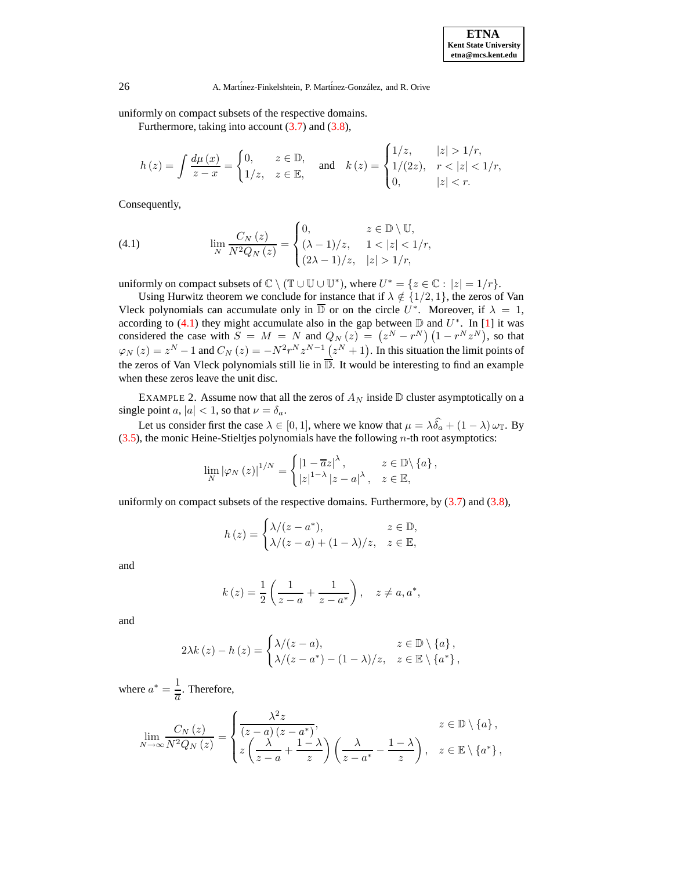26 A. Martínez-Finkelshtein, P. Martínez-González, and R. Orive

uniformly on compact subsets of the respective domains.

Furthermore, taking into account  $(3.7)$  and  $(3.8)$ ,

$$
h(z) = \int \frac{d\mu(x)}{z - x} = \begin{cases} 0, & z \in \mathbb{D}, \\ 1/z, & z \in \mathbb{E}, \end{cases} \text{ and } k(z) = \begin{cases} 1/z, & |z| > 1/r, \\ 1/(2z), & r < |z| < 1/r, \\ 0, & |z| < r. \end{cases}
$$

<span id="page-8-0"></span>Consequently,

(4.1) 
$$
\lim_{N} \frac{C_{N}(z)}{N^{2}Q_{N}(z)} = \begin{cases} 0, & z \in \mathbb{D} \setminus \mathbb{U}, \\ (\lambda - 1)/z, & 1 < |z| < 1/r, \\ (2\lambda - 1)/z, & |z| > 1/r, \end{cases}
$$

uniformly on compact subsets of  $\mathbb{C} \setminus (\mathbb{T} \cup \mathbb{U} \cup \mathbb{U}^*)$ , where  $U^* = \{z \in \mathbb{C} : |z| = 1/r\}$ .

Using Hurwitz theorem we conclude for instance that if  $\lambda \notin \{1/2, 1\}$ , the zeros of Van Vleck polynomials can accumulate only in  $\overline{D}$  or on the circle  $U^*$ . Moreover, if  $\lambda = 1$ , according to [\(4.1\)](#page-8-0) they might accumulate also in the gap between  $\mathbb D$  and  $U^*$ . In [\[1\]](#page-10-2) it was considered the case with  $S = M = N$  and  $Q_N(z) = (z^N - r^N) (1 - r^N z^N)$ , so that  $\varphi_N(z) = z^N - 1$  and  $C_N(z) = -N^2r^Nz^{N-1}(z^N + 1)$ . In this situation the limit points of the zeros of Van Vleck polynomials still lie in  $\overline{D}$ . It would be interesting to find an example when these zeros leave the unit disc.

EXAMPLE 2. Assume now that all the zeros of  $A_N$  inside  $D$  cluster asymptotically on a single point a,  $|a| < 1$ , so that  $\nu = \delta_a$ .

Let us consider first the case  $\lambda \in [0, 1]$ , where we know that  $\mu = \lambda \widehat{\delta}_a + (1 - \lambda) \omega_T$ . By  $(3.5)$ , the monic Heine-Stieltjes polynomials have the following *n*-th root asymptotics:

$$
\lim_{N} |\varphi_{N}(z)|^{1/N} = \begin{cases} |1 - \overline{a}z|^{\lambda}, & z \in \mathbb{D} \setminus \{a\}, \\ |z|^{1-\lambda} |z - a|^{\lambda}, & z \in \mathbb{E}, \end{cases}
$$

uniformly on compact subsets of the respective domains. Furthermore, by  $(3.7)$  and  $(3.8)$ ,

$$
h(z) = \begin{cases} \lambda/(z - a^*), & z \in \mathbb{D}, \\ \lambda/(z - a) + (1 - \lambda)/z, & z \in \mathbb{E}, \end{cases}
$$

and

$$
k(z) = \frac{1}{2} \left( \frac{1}{z - a} + \frac{1}{z - a^{*}} \right), \quad z \neq a, a^{*},
$$

and

$$
2\lambda k(z) - h(z) = \begin{cases} \lambda/(z-a), & z \in \mathbb{D} \setminus \{a\}, \\ \lambda/(z-a^*) - (1-\lambda)/z, & z \in \mathbb{E} \setminus \{a^*\}, \end{cases}
$$

where  $a^* = \frac{1}{a}$  $\frac{1}{a}$ . Therefore,

$$
\lim_{N \to \infty} \frac{C_N(z)}{N^2 Q_N(z)} = \begin{cases} \frac{\lambda^2 z}{(z-a)(z-a^*)}, & z \in \mathbb{D} \setminus \{a\}, \\ z \left(\frac{\lambda}{z-a} + \frac{1-\lambda}{z}\right) \left(\frac{\lambda}{z-a^*} - \frac{1-\lambda}{z}\right), & z \in \mathbb{E} \setminus \{a^*\}, \end{cases}
$$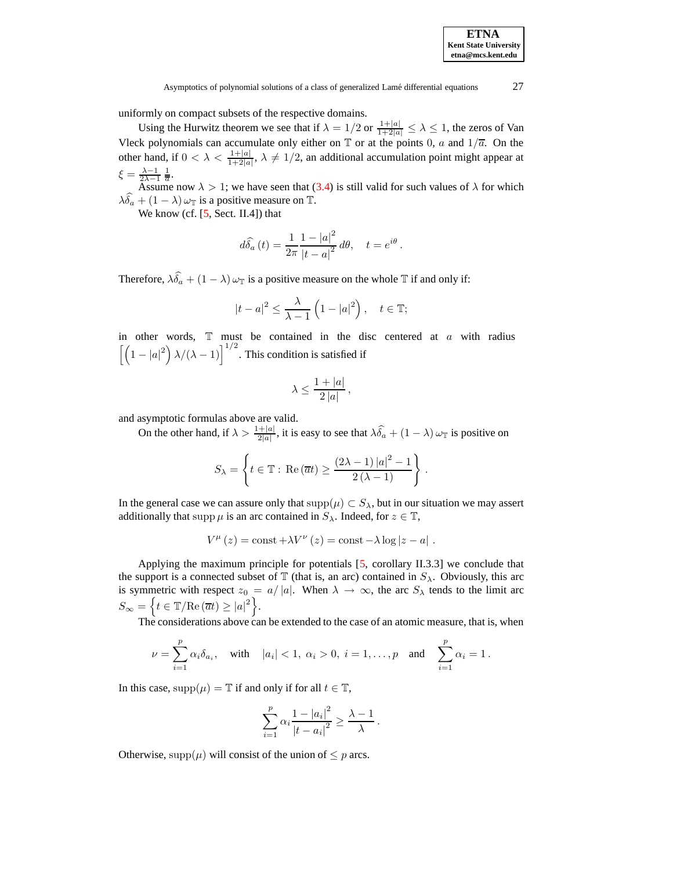uniformly on compact subsets of the respective domains.

Using the Hurwitz theorem we see that if  $\lambda = 1/2$  or  $\frac{1+|a|}{1+2|a|} \leq \lambda \leq 1$ , the zeros of Van Vleck polynomials can accumulate only either on  $\mathbb T$  or at the points 0, a and  $1/\overline{a}$ . On the other hand, if  $0 < \lambda < \frac{1+|a|}{1+2|a|}$  $\frac{1+|a|}{1+2|a|}$ ,  $\lambda \neq 1/2$ , an additional accumulation point might appear at  $\xi = \frac{\lambda - 1}{2\lambda - 1} \frac{1}{\overline{a}}.$ 

Assume now  $\lambda > 1$ ; we have seen that [\(3.4\)](#page-4-2) is still valid for such values of  $\lambda$  for which  $\lambda \widehat{\delta_a} + (1-\lambda) \, \omega_{\mathbb{T}}$  is a positive measure on T.

We know (cf.  $[5, Sect. II.4])$  $[5, Sect. II.4])$  that

$$
d\widehat{\delta}_a(t) = \frac{1}{2\pi} \frac{1 - |a|^2}{|t - a|^2} d\theta, \quad t = e^{i\theta}.
$$

Therefore,  $\lambda \widehat{\delta}_a + (1 - \lambda) \omega_{\mathbb{T}}$  is a positive measure on the whole  $\mathbb{T}$  if and only if:

$$
|t-a|^2 \le \frac{\lambda}{\lambda-1} \left(1-|a|^2\right), \quad t \in \mathbb{T};
$$

in other words,  $\mathbb T$  must be contained in the disc centered at  $a$  with radius  $\left[\left(1-|a|^2\right)\lambda/(\lambda-1)\right]^{1/2}$ . This condition is satisfied if

$$
\lambda \le \frac{1+|a|}{2|a|},
$$

and asymptotic formulas above are valid.

On the other hand, if  $\lambda > \frac{1+|a|}{2|a|}$  $\frac{1}{2|a|}$ , it is easy to see that  $\lambda \delta_a + (1 - \lambda) \omega_{\mathbb{T}}$  is positive on

$$
S_{\lambda} = \left\{ t \in \mathbb{T} : \text{Re}(\overline{a}t) \ge \frac{(2\lambda - 1)|a|^2 - 1}{2(\lambda - 1)} \right\}.
$$

In the general case we can assure only that  $supp(\mu) \subset S_\lambda$ , but in our situation we may assert additionally that supp  $\mu$  is an arc contained in  $S_\lambda$ . Indeed, for  $z \in \mathbb{T}$ ,

$$
V^{\mu}(z) = \text{const} + \lambda V^{\nu}(z) = \text{const} - \lambda \log |z - a|.
$$

Applying the maximum principle for potentials [\[5,](#page-10-4) corollary II.3.3] we conclude that the support is a connected subset of  $\mathbb T$  (that is, an arc) contained in  $S_\lambda$ . Obviously, this arc is symmetric with respect  $z_0 = a/|a|$ . When  $\lambda \to \infty$ , the arc  $S_\lambda$  tends to the limit arc  $S_{\infty} = \left\{ t \in \mathbb{T} / \mathrm{Re}(\overline{a}t) \geq |a|^2 \right\}.$ 

The considerations above can be extended to the case of an atomic measure, that is, when

$$
\nu = \sum_{i=1}^p \alpha_i \delta_{a_i}, \quad \text{with} \quad |a_i| < 1, \ \alpha_i > 0, \ i = 1, \dots, p \quad \text{and} \quad \sum_{i=1}^p \alpha_i = 1 \, .
$$

In this case,  $supp(\mu) = \mathbb{T}$  if and only if for all  $t \in \mathbb{T}$ ,

$$
\sum_{i=1}^{p} \alpha_i \frac{1 - |a_i|^2}{|t - a_i|^2} \ge \frac{\lambda - 1}{\lambda}.
$$

Otherwise, supp $(\mu)$  will consist of the union of  $\leq p$  arcs.